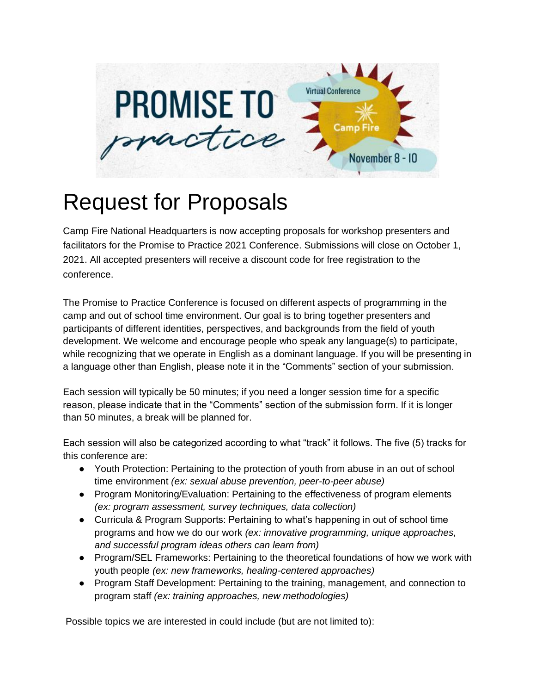

## Request for Proposals

Camp Fire National Headquarters is now accepting proposals for workshop presenters and facilitators for the Promise to Practice 2021 Conference. Submissions will close on October 1, 2021. All accepted presenters will receive a discount code for free registration to the conference.

The Promise to Practice Conference is focused on different aspects of programming in the camp and out of school time environment. Our goal is to bring together presenters and participants of different identities, perspectives, and backgrounds from the field of youth development. We welcome and encourage people who speak any language(s) to participate, while recognizing that we operate in English as a dominant language. If you will be presenting in a language other than English, please note it in the "Comments" section of your submission.

Each session will typically be 50 minutes; if you need a longer session time for a specific reason, please indicate that in the "Comments" section of the submission form. If it is longer than 50 minutes, a break will be planned for.

Each session will also be categorized according to what "track" it follows. The five (5) tracks for this conference are:

- Youth Protection: Pertaining to the protection of youth from abuse in an out of school time environment *(ex: sexual abuse prevention, peer-to-peer abuse)*
- Program Monitoring/Evaluation: Pertaining to the effectiveness of program elements *(ex: program assessment, survey techniques, data collection)*
- Curricula & Program Supports: Pertaining to what's happening in out of school time programs and how we do our work *(ex: innovative programming, unique approaches, and successful program ideas others can learn from)*
- Program/SEL Frameworks: Pertaining to the theoretical foundations of how we work with youth people *(ex: new frameworks, healing-centered approaches)*
- Program Staff Development: Pertaining to the training, management, and connection to program staff *(ex: training approaches, new methodologies)*

Possible topics we are interested in could include (but are not limited to):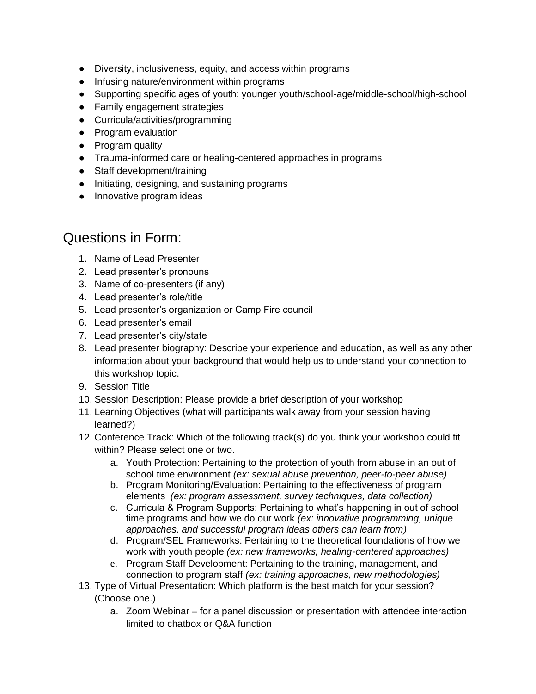- Diversity, inclusiveness, equity, and access within programs
- Infusing nature/environment within programs
- Supporting specific ages of youth: younger youth/school-age/middle-school/high-school
- Family engagement strategies
- Curricula/activities/programming
- Program evaluation
- Program quality
- Trauma-informed care or healing-centered approaches in programs
- Staff development/training
- Initiating, designing, and sustaining programs
- Innovative program ideas

## Questions in Form:

- 1. Name of Lead Presenter
- 2. Lead presenter's pronouns
- 3. Name of co-presenters (if any)
- 4. Lead presenter's role/title
- 5. Lead presenter's organization or Camp Fire council
- 6. Lead presenter's email
- 7. Lead presenter's city/state
- 8. Lead presenter biography: Describe your experience and education, as well as any other information about your background that would help us to understand your connection to this workshop topic.
- 9. Session Title
- 10. Session Description: Please provide a brief description of your workshop
- 11. Learning Objectives (what will participants walk away from your session having learned?)
- 12. Conference Track: Which of the following track(s) do you think your workshop could fit within? Please select one or two.
	- a. Youth Protection: Pertaining to the protection of youth from abuse in an out of school time environment *(ex: sexual abuse prevention, peer-to-peer abuse)*
	- b. Program Monitoring/Evaluation: Pertaining to the effectiveness of program elements *(ex: program assessment, survey techniques, data collection)*
	- c. Curricula & Program Supports: Pertaining to what's happening in out of school time programs and how we do our work *(ex: innovative programming, unique approaches, and successful program ideas others can learn from)*
	- d. Program/SEL Frameworks: Pertaining to the theoretical foundations of how we work with youth people *(ex: new frameworks, healing-centered approaches)*
	- e. Program Staff Development: Pertaining to the training, management, and connection to program staff *(ex: training approaches, new methodologies)*
- 13. Type of Virtual Presentation: Which platform is the best match for your session? (Choose one.)
	- a. Zoom Webinar for a panel discussion or presentation with attendee interaction limited to chatbox or Q&A function